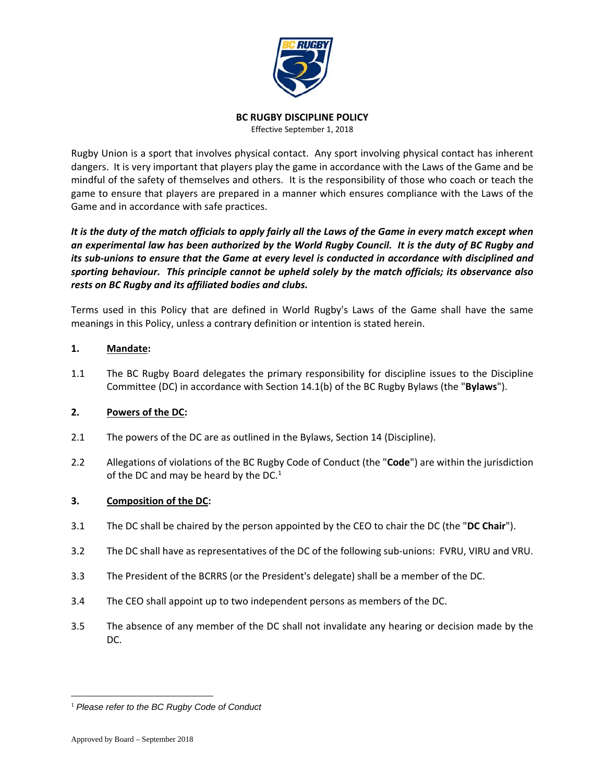

#### **BC RUGBY DISCIPLINE POLICY**

Effective September 1, 2018

Rugby Union is a sport that involves physical contact. Any sport involving physical contact has inherent dangers. It is very important that players play the game in accordance with the Laws of the Game and be mindful of the safety of themselves and others. It is the responsibility of those who coach or teach the game to ensure that players are prepared in a manner which ensures compliance with the Laws of the Game and in accordance with safe practices.

It is the duty of the match officials to apply fairly all the Laws of the Game in every match except when an experimental law has been authorized by the World Rugby Council. It is the duty of BC Rugby and its sub-unions to ensure that the Game at every level is conducted in accordance with disciplined and *sporting behaviour. This principle cannot be upheld solely by the match officials; its observance also rests on BC Rugby and its affiliated bodies and clubs.*

Terms used in this Policy that are defined in World Rugby's Laws of the Game shall have the same meanings in this Policy, unless a contrary definition or intention is stated herein.

## **1. Mandate:**

1.1 The BC Rugby Board delegates the primary responsibility for discipline issues to the Discipline Committee (DC) in accordance with Section 14.1(b) of the BC Rugby Bylaws (the "**Bylaws**").

## **2. Powers of the DC:**

- 2.1 The powers of the DC are as outlined in the Bylaws, Section 14 (Discipline).
- 2.2 Allegations of violations of the BC Rugby Code of Conduct (the "**Code**") are within the jurisdiction of the DC and may be heard by the DC. $1$

## **3. Composition of the DC:**

- 3.1 The DC shall be chaired by the person appointed by the CEO to chair the DC (the "**DC Chair**").
- 3.2 The DC shall have as representatives of the DC of the following sub-unions: FVRU, VIRU and VRU.
- 3.3 The President of the BCRRS (or the President's delegate) shall be a member of the DC.
- 3.4 The CEO shall appoint up to two independent persons as members of the DC.
- 3.5 The absence of any member of the DC shall not invalidate any hearing or decision made by the DC.

 $\overline{a}$ <sup>1</sup> *Please refer to the BC Rugby Code of Conduct*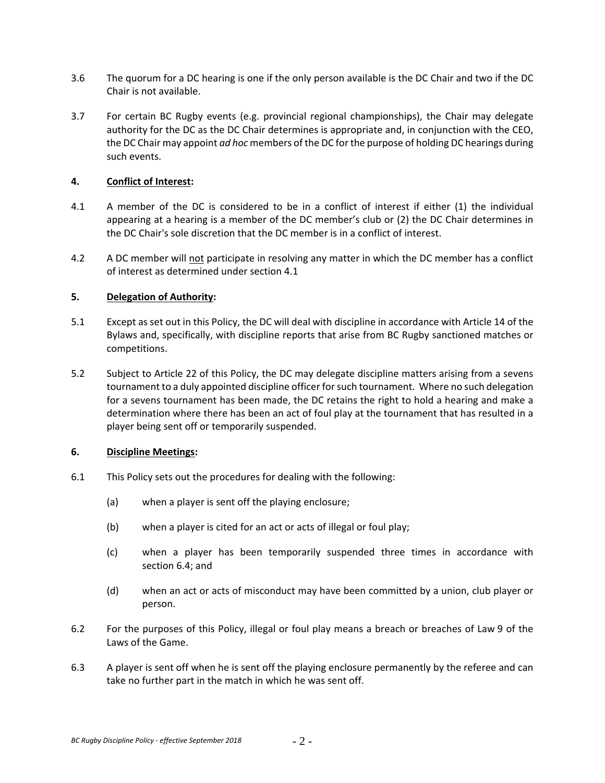- 3.6 The quorum for a DC hearing is one if the only person available is the DC Chair and two if the DC Chair is not available.
- 3.7 For certain BC Rugby events (e.g. provincial regional championships), the Chair may delegate authority for the DC as the DC Chair determines is appropriate and, in conjunction with the CEO, the DC Chair may appoint *ad hoc* members of the DC forthe purpose of holding DC hearings during such events.

#### **4. Conflict of Interest:**

- 4.1 A member of the DC is considered to be in a conflict of interest if either (1) the individual appearing at a hearing is a member of the DC member's club or (2) the DC Chair determines in the DC Chair's sole discretion that the DC member is in a conflict of interest.
- 4.2 A DC member will not participate in resolving any matter in which the DC member has a conflict of interest as determined under section 4.1

## **5. Delegation of Authority:**

- 5.1 Except as set out in this Policy, the DC will deal with discipline in accordance with Article 14 of the Bylaws and, specifically, with discipline reports that arise from BC Rugby sanctioned matches or competitions.
- 5.2 Subject to Article 22 of this Policy, the DC may delegate discipline matters arising from a sevens tournament to a duly appointed discipline officer forsuch tournament. Where no such delegation for a sevens tournament has been made, the DC retains the right to hold a hearing and make a determination where there has been an act of foul play at the tournament that has resulted in a player being sent off or temporarily suspended.

## **6. Discipline Meetings:**

- 6.1 This Policy sets out the procedures for dealing with the following:
	- (a) when a player is sent off the playing enclosure;
	- (b) when a player is cited for an act or acts of illegal or foul play;
	- (c) when a player has been temporarily suspended three times in accordance with section 6.4; and
	- (d) when an act or acts of misconduct may have been committed by a union, club player or person.
- 6.2 For the purposes of this Policy, illegal or foul play means a breach or breaches of Law 9 of the Laws of the Game.
- 6.3 A player is sent off when he is sent off the playing enclosure permanently by the referee and can take no further part in the match in which he was sent off.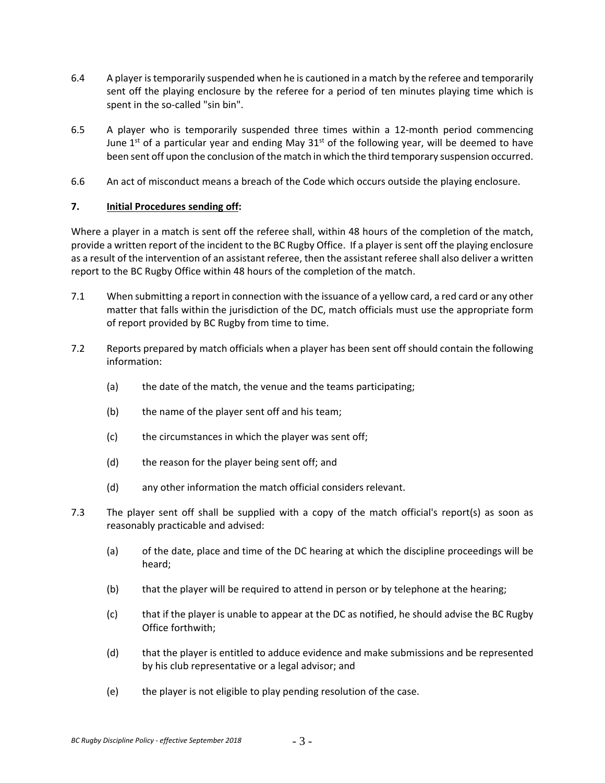- 6.4 A player istemporarily suspended when he is cautioned in a match by the referee and temporarily sent off the playing enclosure by the referee for a period of ten minutes playing time which is spent in the so-called "sin bin".
- 6.5 A player who is temporarily suspended three times within a 12‐month period commencing June 1<sup>st</sup> of a particular year and ending May  $31<sup>st</sup>$  of the following year, will be deemed to have been sent off upon the conclusion of the match in which the third temporary suspension occurred.
- 6.6 An act of misconduct means a breach of the Code which occurs outside the playing enclosure.

# **7. Initial Procedures sending off:**

Where a player in a match is sent off the referee shall, within 48 hours of the completion of the match, provide a written report of the incident to the BC Rugby Office. If a player is sent off the playing enclosure as a result of the intervention of an assistant referee, then the assistant referee shall also deliver a written report to the BC Rugby Office within 48 hours of the completion of the match.

- 7.1 When submitting a report in connection with the issuance of a yellow card, a red card or any other matter that falls within the jurisdiction of the DC, match officials must use the appropriate form of report provided by BC Rugby from time to time.
- 7.2 Reports prepared by match officials when a player has been sent off should contain the following information:
	- (a) the date of the match, the venue and the teams participating;
	- (b) the name of the player sent off and his team;
	- (c) the circumstances in which the player was sent off;
	- (d) the reason for the player being sent off; and
	- (d) any other information the match official considers relevant.
- 7.3 The player sent off shall be supplied with a copy of the match official's report(s) as soon as reasonably practicable and advised:
	- (a) of the date, place and time of the DC hearing at which the discipline proceedings will be heard;
	- (b) that the player will be required to attend in person or by telephone at the hearing;
	- (c) that if the player is unable to appear at the DC as notified, he should advise the BC Rugby Office forthwith;
	- (d) that the player is entitled to adduce evidence and make submissions and be represented by his club representative or a legal advisor; and
	- (e) the player is not eligible to play pending resolution of the case.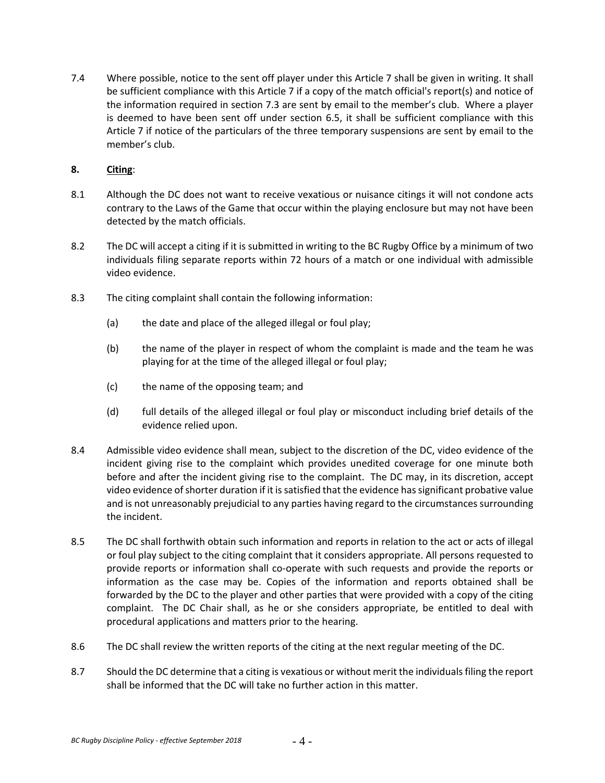7.4 Where possible, notice to the sent off player under this Article 7 shall be given in writing. It shall be sufficient compliance with this Article 7 if a copy of the match official's report(s) and notice of the information required in section 7.3 are sent by email to the member's club. Where a player is deemed to have been sent off under section 6.5, it shall be sufficient compliance with this Article 7 if notice of the particulars of the three temporary suspensions are sent by email to the member's club.

# **8. Citing**:

- 8.1 Although the DC does not want to receive vexatious or nuisance citings it will not condone acts contrary to the Laws of the Game that occur within the playing enclosure but may not have been detected by the match officials.
- 8.2 The DC will accept a citing if it is submitted in writing to the BC Rugby Office by a minimum of two individuals filing separate reports within 72 hours of a match or one individual with admissible video evidence.
- 8.3 The citing complaint shall contain the following information:
	- (a) the date and place of the alleged illegal or foul play;
	- (b) the name of the player in respect of whom the complaint is made and the team he was playing for at the time of the alleged illegal or foul play;
	- (c) the name of the opposing team; and
	- (d) full details of the alleged illegal or foul play or misconduct including brief details of the evidence relied upon.
- 8.4 Admissible video evidence shall mean, subject to the discretion of the DC, video evidence of the incident giving rise to the complaint which provides unedited coverage for one minute both before and after the incident giving rise to the complaint. The DC may, in its discretion, accept video evidence of shorter duration if it is satisfied that the evidence has significant probative value and is not unreasonably prejudicial to any parties having regard to the circumstances surrounding the incident.
- 8.5 The DC shall forthwith obtain such information and reports in relation to the act or acts of illegal or foul play subject to the citing complaint that it considers appropriate. All persons requested to provide reports or information shall co-operate with such requests and provide the reports or information as the case may be. Copies of the information and reports obtained shall be forwarded by the DC to the player and other parties that were provided with a copy of the citing complaint. The DC Chair shall, as he or she considers appropriate, be entitled to deal with procedural applications and matters prior to the hearing.
- 8.6 The DC shall review the written reports of the citing at the next regular meeting of the DC.
- 8.7 Should the DC determine that a citing is vexatious or without merit the individuals filing the report shall be informed that the DC will take no further action in this matter.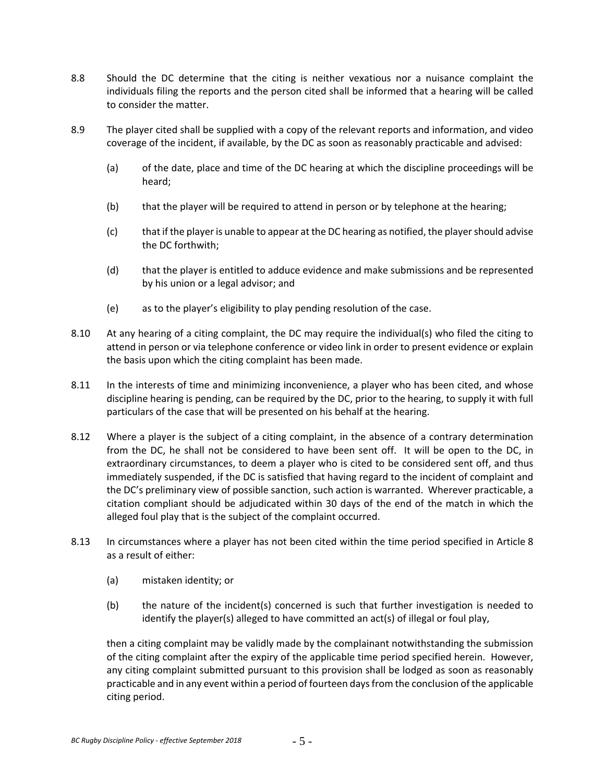- 8.8 Should the DC determine that the citing is neither vexatious nor a nuisance complaint the individuals filing the reports and the person cited shall be informed that a hearing will be called to consider the matter.
- 8.9 The player cited shall be supplied with a copy of the relevant reports and information, and video coverage of the incident, if available, by the DC as soon as reasonably practicable and advised:
	- (a) of the date, place and time of the DC hearing at which the discipline proceedings will be heard;
	- (b) that the player will be required to attend in person or by telephone at the hearing;
	- (c) thatif the playeris unable to appear at the DC hearing as notified, the playershould advise the DC forthwith;
	- (d) that the player is entitled to adduce evidence and make submissions and be represented by his union or a legal advisor; and
	- (e) as to the player's eligibility to play pending resolution of the case.
- 8.10 At any hearing of a citing complaint, the DC may require the individual(s) who filed the citing to attend in person or via telephone conference or video link in order to present evidence or explain the basis upon which the citing complaint has been made.
- 8.11 In the interests of time and minimizing inconvenience, a player who has been cited, and whose discipline hearing is pending, can be required by the DC, prior to the hearing, to supply it with full particulars of the case that will be presented on his behalf at the hearing.
- 8.12 Where a player is the subject of a citing complaint, in the absence of a contrary determination from the DC, he shall not be considered to have been sent off. It will be open to the DC, in extraordinary circumstances, to deem a player who is cited to be considered sent off, and thus immediately suspended, if the DC is satisfied that having regard to the incident of complaint and the DC's preliminary view of possible sanction, such action is warranted. Wherever practicable, a citation compliant should be adjudicated within 30 days of the end of the match in which the alleged foul play that is the subject of the complaint occurred.
- 8.13 In circumstances where a player has not been cited within the time period specified in Article 8 as a result of either:
	- (a) mistaken identity; or
	- (b) the nature of the incident(s) concerned is such that further investigation is needed to identify the player(s) alleged to have committed an act(s) of illegal or foul play,

then a citing complaint may be validly made by the complainant notwithstanding the submission of the citing complaint after the expiry of the applicable time period specified herein. However, any citing complaint submitted pursuant to this provision shall be lodged as soon as reasonably practicable and in any event within a period of fourteen daysfrom the conclusion of the applicable citing period.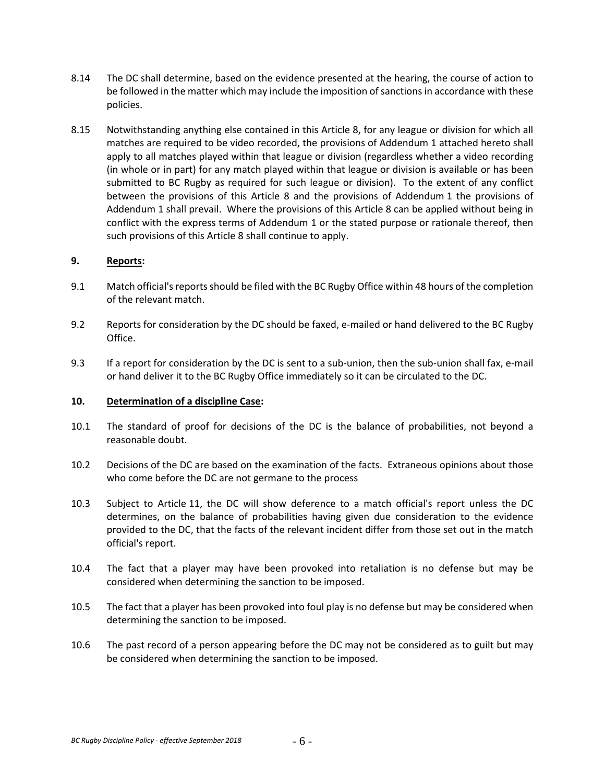- 8.14 The DC shall determine, based on the evidence presented at the hearing, the course of action to be followed in the matter which may include the imposition of sanctions in accordance with these policies.
- 8.15 Notwithstanding anything else contained in this Article 8, for any league or division for which all matches are required to be video recorded, the provisions of Addendum 1 attached hereto shall apply to all matches played within that league or division (regardless whether a video recording (in whole or in part) for any match played within that league or division is available or has been submitted to BC Rugby as required for such league or division). To the extent of any conflict between the provisions of this Article 8 and the provisions of Addendum 1 the provisions of Addendum 1 shall prevail. Where the provisions of this Article 8 can be applied without being in conflict with the express terms of Addendum 1 or the stated purpose or rationale thereof, then such provisions of this Article 8 shall continue to apply.

#### **9. Reports:**

- 9.1 Match official's reports should be filed with the BC Rugby Office within 48 hours of the completion of the relevant match.
- 9.2 Reports for consideration by the DC should be faxed, e-mailed or hand delivered to the BC Rugby Office.
- 9.3 If a report for consideration by the DC is sent to a sub‐union, then the sub‐union shall fax, e‐mail or hand deliver it to the BC Rugby Office immediately so it can be circulated to the DC.

#### **10. Determination of a discipline Case:**

- 10.1 The standard of proof for decisions of the DC is the balance of probabilities, not beyond a reasonable doubt.
- 10.2 Decisions of the DC are based on the examination of the facts. Extraneous opinions about those who come before the DC are not germane to the process
- 10.3 Subject to Article 11, the DC will show deference to a match official's report unless the DC determines, on the balance of probabilities having given due consideration to the evidence provided to the DC, that the facts of the relevant incident differ from those set out in the match official's report.
- 10.4 The fact that a player may have been provoked into retaliation is no defense but may be considered when determining the sanction to be imposed.
- 10.5 The fact that a player has been provoked into foul play is no defense but may be considered when determining the sanction to be imposed.
- 10.6 The past record of a person appearing before the DC may not be considered as to guilt but may be considered when determining the sanction to be imposed.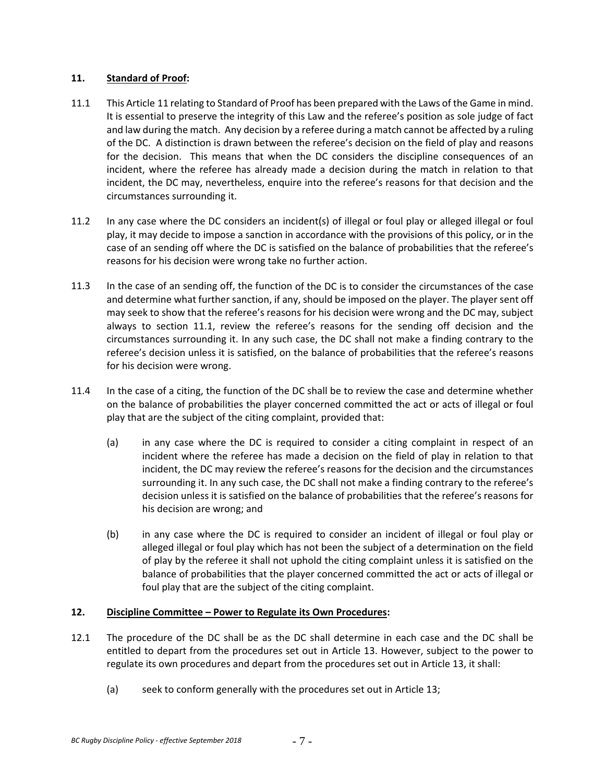## **11. Standard of Proof:**

- 11.1 This Article 11 relating to Standard of Proof has been prepared with the Laws of the Game in mind. It is essential to preserve the integrity of this Law and the referee's position as sole judge of fact and law during the match. Any decision by a referee during a match cannot be affected by a ruling of the DC. A distinction is drawn between the referee's decision on the field of play and reasons for the decision. This means that when the DC considers the discipline consequences of an incident, where the referee has already made a decision during the match in relation to that incident, the DC may, nevertheless, enquire into the referee's reasons for that decision and the circumstances surrounding it.
- 11.2 In any case where the DC considers an incident(s) of illegal or foul play or alleged illegal or foul play, it may decide to impose a sanction in accordance with the provisions of this policy, or in the case of an sending off where the DC is satisfied on the balance of probabilities that the referee's reasons for his decision were wrong take no further action.
- 11.3 In the case of an sending off, the function of the DC is to consider the circumstances of the case and determine what further sanction, if any, should be imposed on the player. The player sent off may seek to show that the referee's reasons for his decision were wrong and the DC may, subject always to section 11.1, review the referee's reasons for the sending off decision and the circumstances surrounding it. In any such case, the DC shall not make a finding contrary to the referee's decision unless it is satisfied, on the balance of probabilities that the referee's reasons for his decision were wrong.
- 11.4 In the case of a citing, the function of the DC shall be to review the case and determine whether on the balance of probabilities the player concerned committed the act or acts of illegal or foul play that are the subject of the citing complaint, provided that:
	- (a) in any case where the DC is required to consider a citing complaint in respect of an incident where the referee has made a decision on the field of play in relation to that incident, the DC may review the referee's reasons for the decision and the circumstances surrounding it. In any such case, the DC shall not make a finding contrary to the referee's decision unless it is satisfied on the balance of probabilities that the referee's reasons for his decision are wrong; and
	- (b) in any case where the DC is required to consider an incident of illegal or foul play or alleged illegal or foul play which has not been the subject of a determination on the field of play by the referee it shall not uphold the citing complaint unless it is satisfied on the balance of probabilities that the player concerned committed the act or acts of illegal or foul play that are the subject of the citing complaint.

# **12. Discipline Committee – Power to Regulate its Own Procedures:**

- 12.1 The procedure of the DC shall be as the DC shall determine in each case and the DC shall be entitled to depart from the procedures set out in Article 13. However, subject to the power to regulate its own procedures and depart from the procedures set out in Article 13, it shall:
	- (a) seek to conform generally with the procedures set out in Article 13;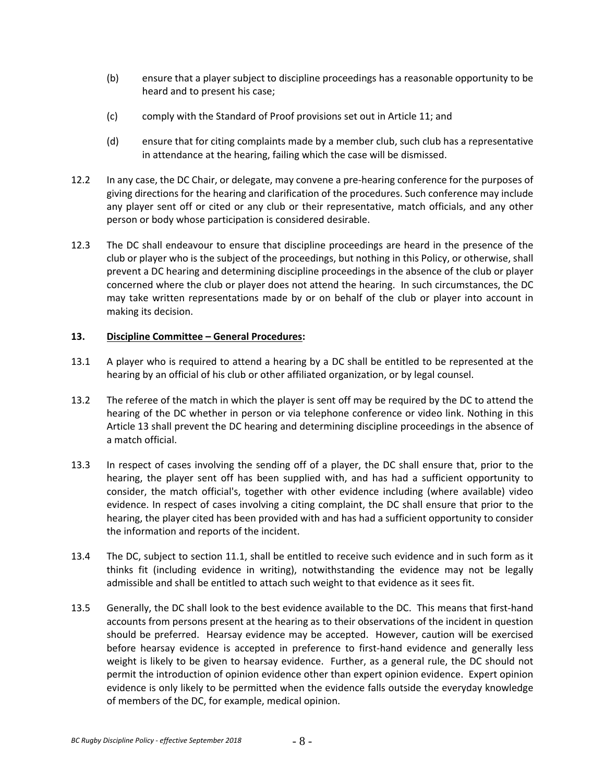- (b) ensure that a player subject to discipline proceedings has a reasonable opportunity to be heard and to present his case;
- (c) comply with the Standard of Proof provisions set out in Article 11; and
- (d) ensure that for citing complaints made by a member club, such club has a representative in attendance at the hearing, failing which the case will be dismissed.
- 12.2 In any case, the DC Chair, or delegate, may convene a pre‐hearing conference for the purposes of giving directions for the hearing and clarification of the procedures. Such conference may include any player sent off or cited or any club or their representative, match officials, and any other person or body whose participation is considered desirable.
- 12.3 The DC shall endeavour to ensure that discipline proceedings are heard in the presence of the club or player who is the subject of the proceedings, but nothing in this Policy, or otherwise, shall prevent a DC hearing and determining discipline proceedings in the absence of the club or player concerned where the club or player does not attend the hearing. In such circumstances, the DC may take written representations made by or on behalf of the club or player into account in making its decision.

# **13. Discipline Committee – General Procedures:**

- 13.1 A player who is required to attend a hearing by a DC shall be entitled to be represented at the hearing by an official of his club or other affiliated organization, or by legal counsel.
- 13.2 The referee of the match in which the player is sent off may be required by the DC to attend the hearing of the DC whether in person or via telephone conference or video link. Nothing in this Article 13 shall prevent the DC hearing and determining discipline proceedings in the absence of a match official.
- 13.3 In respect of cases involving the sending off of a player, the DC shall ensure that, prior to the hearing, the player sent off has been supplied with, and has had a sufficient opportunity to consider, the match official's, together with other evidence including (where available) video evidence. In respect of cases involving a citing complaint, the DC shall ensure that prior to the hearing, the player cited has been provided with and has had a sufficient opportunity to consider the information and reports of the incident.
- 13.4 The DC, subject to section 11.1, shall be entitled to receive such evidence and in such form as it thinks fit (including evidence in writing), notwithstanding the evidence may not be legally admissible and shall be entitled to attach such weight to that evidence as it sees fit.
- 13.5 Generally, the DC shall look to the best evidence available to the DC. This means that first‐hand accounts from persons present at the hearing as to their observations of the incident in question should be preferred. Hearsay evidence may be accepted. However, caution will be exercised before hearsay evidence is accepted in preference to first-hand evidence and generally less weight is likely to be given to hearsay evidence. Further, as a general rule, the DC should not permit the introduction of opinion evidence other than expert opinion evidence. Expert opinion evidence is only likely to be permitted when the evidence falls outside the everyday knowledge of members of the DC, for example, medical opinion.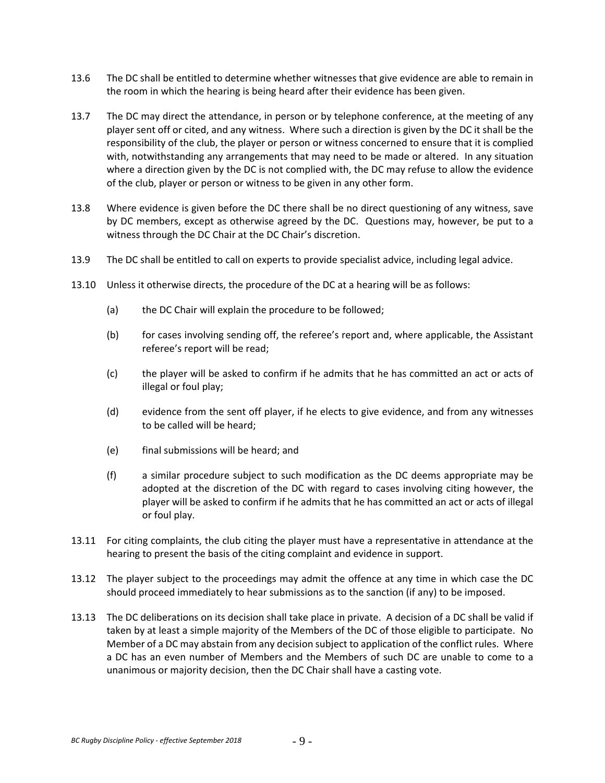- 13.6 The DC shall be entitled to determine whether witnesses that give evidence are able to remain in the room in which the hearing is being heard after their evidence has been given.
- 13.7 The DC may direct the attendance, in person or by telephone conference, at the meeting of any player sent off or cited, and any witness. Where such a direction is given by the DC it shall be the responsibility of the club, the player or person or witness concerned to ensure that it is complied with, notwithstanding any arrangements that may need to be made or altered. In any situation where a direction given by the DC is not complied with, the DC may refuse to allow the evidence of the club, player or person or witness to be given in any other form.
- 13.8 Where evidence is given before the DC there shall be no direct questioning of any witness, save by DC members, except as otherwise agreed by the DC. Questions may, however, be put to a witness through the DC Chair at the DC Chair's discretion.
- 13.9 The DC shall be entitled to call on experts to provide specialist advice, including legal advice.
- 13.10 Unless it otherwise directs, the procedure of the DC at a hearing will be as follows:
	- (a) the DC Chair will explain the procedure to be followed;
	- (b) for cases involving sending off, the referee's report and, where applicable, the Assistant referee's report will be read;
	- (c) the player will be asked to confirm if he admits that he has committed an act or acts of illegal or foul play;
	- (d) evidence from the sent off player, if he elects to give evidence, and from any witnesses to be called will be heard;
	- (e) final submissions will be heard; and
	- (f) a similar procedure subject to such modification as the DC deems appropriate may be adopted at the discretion of the DC with regard to cases involving citing however, the player will be asked to confirm if he admits that he has committed an act or acts of illegal or foul play.
- 13.11 For citing complaints, the club citing the player must have a representative in attendance at the hearing to present the basis of the citing complaint and evidence in support.
- 13.12 The player subject to the proceedings may admit the offence at any time in which case the DC should proceed immediately to hear submissions as to the sanction (if any) to be imposed.
- 13.13 The DC deliberations on its decision shall take place in private. A decision of a DC shall be valid if taken by at least a simple majority of the Members of the DC of those eligible to participate. No Member of a DC may abstain from any decision subject to application of the conflict rules. Where a DC has an even number of Members and the Members of such DC are unable to come to a unanimous or majority decision, then the DC Chair shall have a casting vote.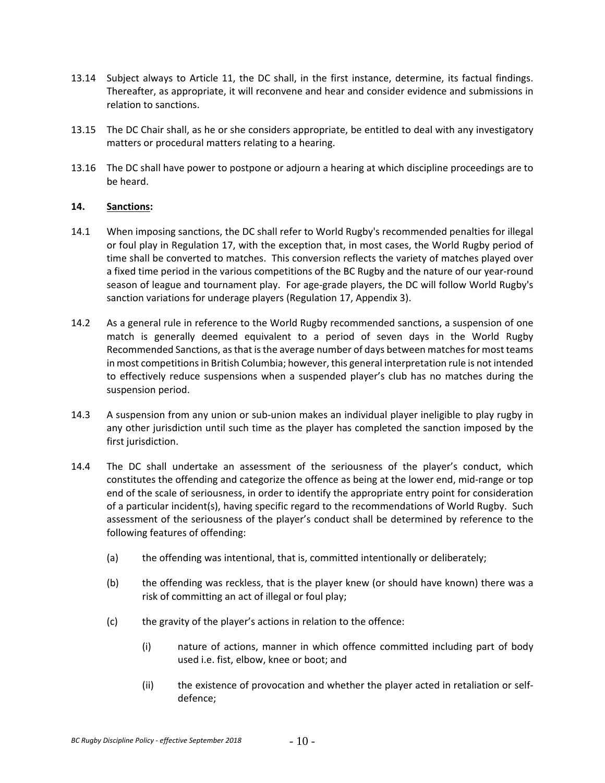- 13.14 Subject always to Article 11, the DC shall, in the first instance, determine, its factual findings. Thereafter, as appropriate, it will reconvene and hear and consider evidence and submissions in relation to sanctions.
- 13.15 The DC Chair shall, as he or she considers appropriate, be entitled to deal with any investigatory matters or procedural matters relating to a hearing.
- 13.16 The DC shall have power to postpone or adjourn a hearing at which discipline proceedings are to be heard.

## **14. Sanctions:**

- 14.1 When imposing sanctions, the DC shall refer to World Rugby's recommended penalties for illegal or foul play in Regulation 17, with the exception that, in most cases, the World Rugby period of time shall be converted to matches. This conversion reflects the variety of matches played over a fixed time period in the various competitions of the BC Rugby and the nature of our year-round season of league and tournament play. For age-grade players, the DC will follow World Rugby's sanction variations for underage players (Regulation 17, Appendix 3).
- 14.2 As a general rule in reference to the World Rugby recommended sanctions, a suspension of one match is generally deemed equivalent to a period of seven days in the World Rugby Recommended Sanctions, as that is the average number of days between matches for most teams in most competitions in British Columbia; however, this general interpretation rule is not intended to effectively reduce suspensions when a suspended player's club has no matches during the suspension period.
- 14.3 A suspension from any union or sub-union makes an individual player ineligible to play rugby in any other jurisdiction until such time as the player has completed the sanction imposed by the first jurisdiction.
- 14.4 The DC shall undertake an assessment of the seriousness of the player's conduct, which constitutes the offending and categorize the offence as being at the lower end, mid-range or top end of the scale of seriousness, in order to identify the appropriate entry point for consideration of a particular incident(s), having specific regard to the recommendations of World Rugby. Such assessment of the seriousness of the player's conduct shall be determined by reference to the following features of offending:
	- (a) the offending was intentional, that is, committed intentionally or deliberately;
	- (b) the offending was reckless, that is the player knew (or should have known) there was a risk of committing an act of illegal or foul play;
	- (c) the gravity of the player's actions in relation to the offence:
		- (i) nature of actions, manner in which offence committed including part of body used i.e. fist, elbow, knee or boot; and
		- (ii) the existence of provocation and whether the player acted in retaliation or self‐ defence;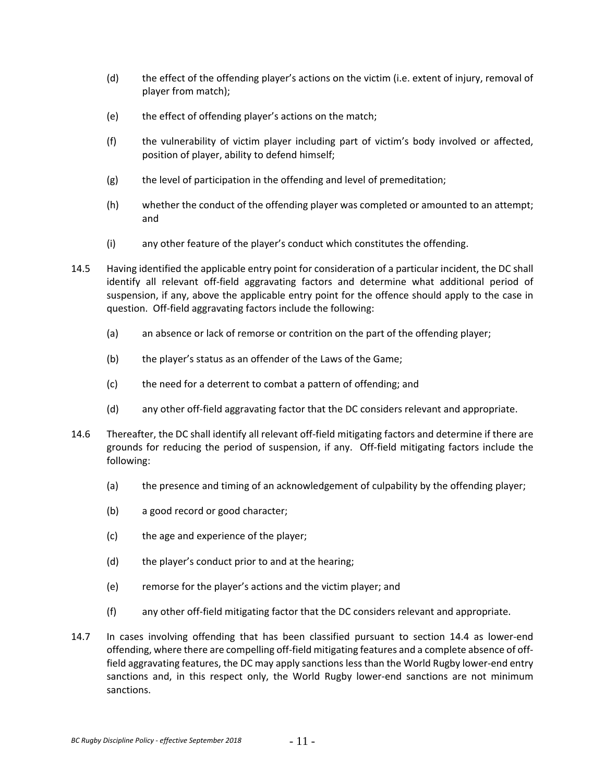- (d) the effect of the offending player's actions on the victim (i.e. extent of injury, removal of player from match);
- (e) the effect of offending player's actions on the match;
- (f) the vulnerability of victim player including part of victim's body involved or affected, position of player, ability to defend himself;
- (g) the level of participation in the offending and level of premeditation;
- (h) whether the conduct of the offending player was completed or amounted to an attempt; and
- (i) any other feature of the player's conduct which constitutes the offending.
- 14.5 Having identified the applicable entry point for consideration of a particular incident, the DC shall identify all relevant off‐field aggravating factors and determine what additional period of suspension, if any, above the applicable entry point for the offence should apply to the case in question. Off-field aggravating factors include the following:
	- (a) an absence or lack of remorse or contrition on the part of the offending player;
	- (b) the player's status as an offender of the Laws of the Game;
	- (c) the need for a deterrent to combat a pattern of offending; and
	- (d) any other off‐field aggravating factor that the DC considers relevant and appropriate.
- 14.6 Thereafter, the DC shall identify all relevant off-field mitigating factors and determine if there are grounds for reducing the period of suspension, if any. Off-field mitigating factors include the following:
	- (a) the presence and timing of an acknowledgement of culpability by the offending player;
	- (b) a good record or good character;
	- (c) the age and experience of the player;
	- (d) the player's conduct prior to and at the hearing;
	- (e) remorse for the player's actions and the victim player; and
	- (f) any other off‐field mitigating factor that the DC considers relevant and appropriate.
- 14.7 In cases involving offending that has been classified pursuant to section 14.4 as lower-end offending, where there are compelling off‐field mitigating features and a complete absence of off‐ field aggravating features, the DC may apply sanctions less than the World Rugby lower-end entry sanctions and, in this respect only, the World Rugby lower-end sanctions are not minimum sanctions.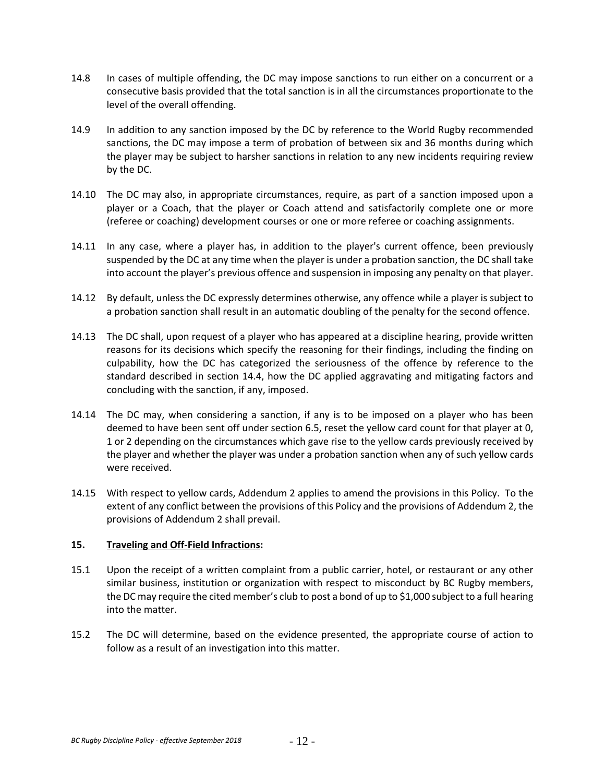- 14.8 In cases of multiple offending, the DC may impose sanctions to run either on a concurrent or a consecutive basis provided that the total sanction is in all the circumstances proportionate to the level of the overall offending.
- 14.9 In addition to any sanction imposed by the DC by reference to the World Rugby recommended sanctions, the DC may impose a term of probation of between six and 36 months during which the player may be subject to harsher sanctions in relation to any new incidents requiring review by the DC.
- 14.10 The DC may also, in appropriate circumstances, require, as part of a sanction imposed upon a player or a Coach, that the player or Coach attend and satisfactorily complete one or more (referee or coaching) development courses or one or more referee or coaching assignments.
- 14.11 In any case, where a player has, in addition to the player's current offence, been previously suspended by the DC at any time when the player is under a probation sanction, the DC shall take into account the player's previous offence and suspension in imposing any penalty on that player.
- 14.12 By default, unless the DC expressly determines otherwise, any offence while a player is subject to a probation sanction shall result in an automatic doubling of the penalty for the second offence.
- 14.13 The DC shall, upon request of a player who has appeared at a discipline hearing, provide written reasons for its decisions which specify the reasoning for their findings, including the finding on culpability, how the DC has categorized the seriousness of the offence by reference to the standard described in section 14.4, how the DC applied aggravating and mitigating factors and concluding with the sanction, if any, imposed.
- 14.14 The DC may, when considering a sanction, if any is to be imposed on a player who has been deemed to have been sent off under section 6.5, reset the yellow card count for that player at 0, 1 or 2 depending on the circumstances which gave rise to the yellow cards previously received by the player and whether the player was under a probation sanction when any of such yellow cards were received.
- 14.15 With respect to yellow cards, Addendum 2 applies to amend the provisions in this Policy. To the extent of any conflict between the provisions of this Policy and the provisions of Addendum 2, the provisions of Addendum 2 shall prevail.

## **15. Traveling and Off‐Field Infractions:**

- 15.1 Upon the receipt of a written complaint from a public carrier, hotel, or restaurant or any other similar business, institution or organization with respect to misconduct by BC Rugby members, the DC may require the cited member's club to post a bond of up to \$1,000 subject to a full hearing into the matter.
- 15.2 The DC will determine, based on the evidence presented, the appropriate course of action to follow as a result of an investigation into this matter.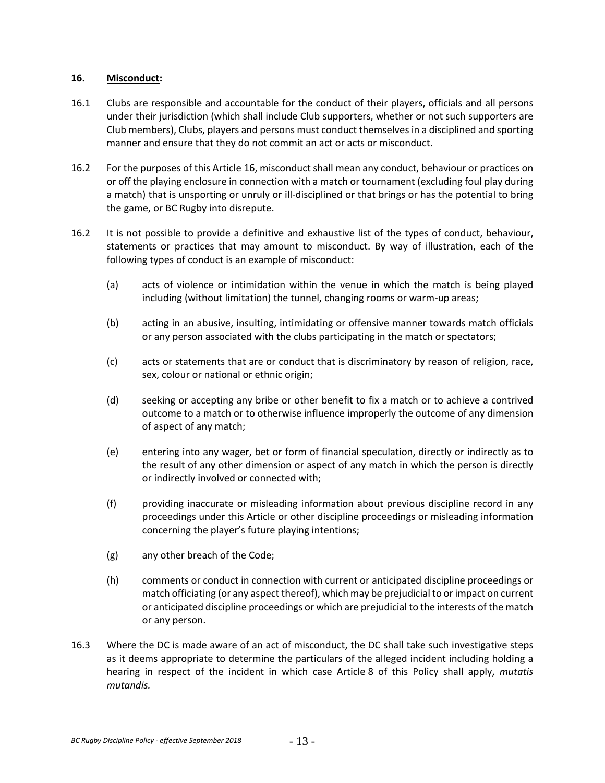### **16. Misconduct:**

- 16.1 Clubs are responsible and accountable for the conduct of their players, officials and all persons under their jurisdiction (which shall include Club supporters, whether or not such supporters are Club members), Clubs, players and persons must conduct themselvesin a disciplined and sporting manner and ensure that they do not commit an act or acts or misconduct.
- 16.2 For the purposes of this Article 16, misconduct shall mean any conduct, behaviour or practices on or off the playing enclosure in connection with a match or tournament (excluding foul play during a match) that is unsporting or unruly or ill-disciplined or that brings or has the potential to bring the game, or BC Rugby into disrepute.
- 16.2 It is not possible to provide a definitive and exhaustive list of the types of conduct, behaviour, statements or practices that may amount to misconduct. By way of illustration, each of the following types of conduct is an example of misconduct:
	- (a) acts of violence or intimidation within the venue in which the match is being played including (without limitation) the tunnel, changing rooms or warm‐up areas;
	- (b) acting in an abusive, insulting, intimidating or offensive manner towards match officials or any person associated with the clubs participating in the match or spectators;
	- (c) acts or statements that are or conduct that is discriminatory by reason of religion, race, sex, colour or national or ethnic origin;
	- (d) seeking or accepting any bribe or other benefit to fix a match or to achieve a contrived outcome to a match or to otherwise influence improperly the outcome of any dimension of aspect of any match;
	- (e) entering into any wager, bet or form of financial speculation, directly or indirectly as to the result of any other dimension or aspect of any match in which the person is directly or indirectly involved or connected with;
	- (f) providing inaccurate or misleading information about previous discipline record in any proceedings under this Article or other discipline proceedings or misleading information concerning the player's future playing intentions;
	- (g) any other breach of the Code;
	- (h) comments or conduct in connection with current or anticipated discipline proceedings or match officiating (or any aspect thereof), which may be prejudicial to or impact on current or anticipated discipline proceedings or which are prejudicial to the interests of the match or any person.
- 16.3 Where the DC is made aware of an act of misconduct, the DC shall take such investigative steps as it deems appropriate to determine the particulars of the alleged incident including holding a hearing in respect of the incident in which case Article 8 of this Policy shall apply, *mutatis mutandis.*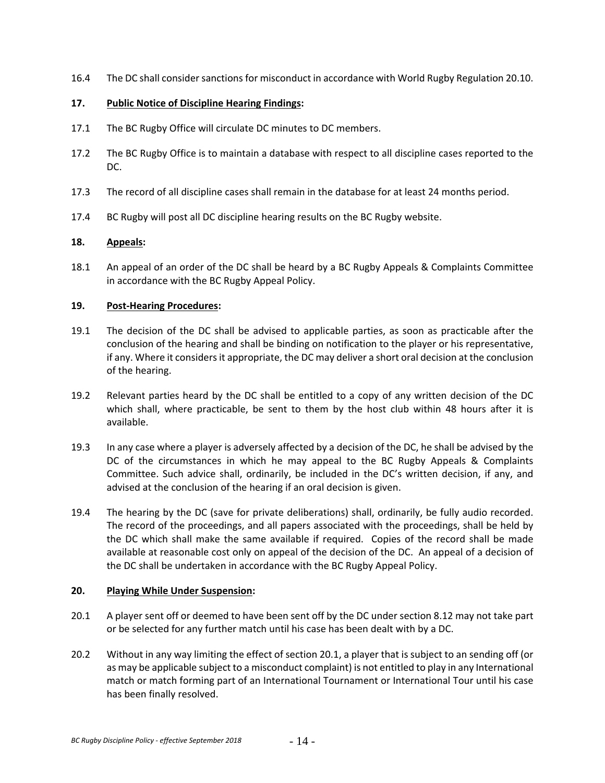16.4 The DC shall consider sanctions for misconduct in accordance with World Rugby Regulation 20.10.

# **17. Public Notice of Discipline Hearing Findings:**

- 17.1 The BC Rugby Office will circulate DC minutes to DC members.
- 17.2 The BC Rugby Office is to maintain a database with respect to all discipline cases reported to the DC.
- 17.3 The record of all discipline cases shall remain in the database for at least 24 months period.
- 17.4 BC Rugby will post all DC discipline hearing results on the BC Rugby website.

# **18. Appeals:**

18.1 An appeal of an order of the DC shall be heard by a BC Rugby Appeals & Complaints Committee in accordance with the BC Rugby Appeal Policy.

# **19. Post‐Hearing Procedures:**

- 19.1 The decision of the DC shall be advised to applicable parties, as soon as practicable after the conclusion of the hearing and shall be binding on notification to the player or his representative, if any. Where it considers it appropriate, the DC may deliver a short oral decision at the conclusion of the hearing.
- 19.2 Relevant parties heard by the DC shall be entitled to a copy of any written decision of the DC which shall, where practicable, be sent to them by the host club within 48 hours after it is available.
- 19.3 In any case where a player is adversely affected by a decision of the DC, he shall be advised by the DC of the circumstances in which he may appeal to the BC Rugby Appeals & Complaints Committee. Such advice shall, ordinarily, be included in the DC's written decision, if any, and advised at the conclusion of the hearing if an oral decision is given.
- 19.4 The hearing by the DC (save for private deliberations) shall, ordinarily, be fully audio recorded. The record of the proceedings, and all papers associated with the proceedings, shall be held by the DC which shall make the same available if required. Copies of the record shall be made available at reasonable cost only on appeal of the decision of the DC. An appeal of a decision of the DC shall be undertaken in accordance with the BC Rugby Appeal Policy.

## **20. Playing While Under Suspension:**

- 20.1 A player sent off or deemed to have been sent off by the DC under section 8.12 may not take part or be selected for any further match until his case has been dealt with by a DC.
- 20.2 Without in any way limiting the effect of section 20.1, a player that is subject to an sending off (or as may be applicable subject to a misconduct complaint) is not entitled to play in any International match or match forming part of an International Tournament or International Tour until his case has been finally resolved.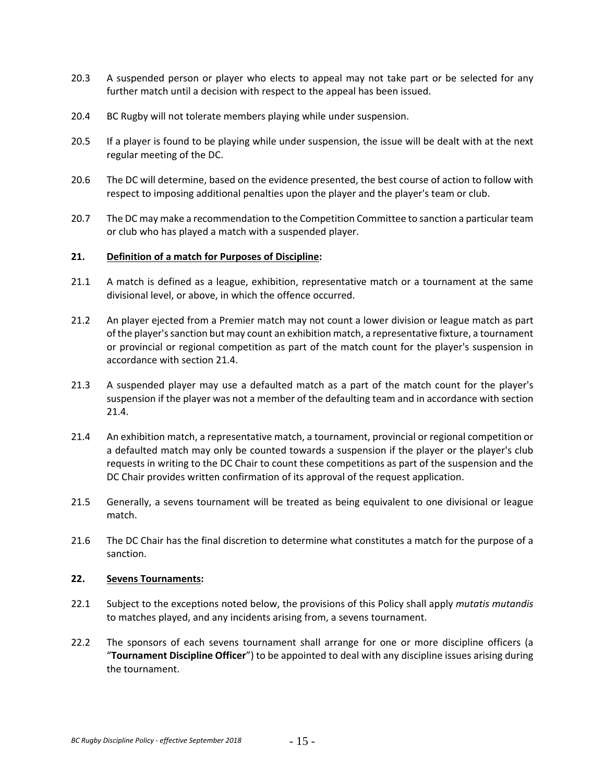- 20.3 A suspended person or player who elects to appeal may not take part or be selected for any further match until a decision with respect to the appeal has been issued.
- 20.4 BC Rugby will not tolerate members playing while under suspension.
- 20.5 If a player is found to be playing while under suspension, the issue will be dealt with at the next regular meeting of the DC.
- 20.6 The DC will determine, based on the evidence presented, the best course of action to follow with respect to imposing additional penalties upon the player and the player's team or club.
- 20.7 The DC may make a recommendation to the Competition Committee to sanction a particular team or club who has played a match with a suspended player.

#### **21. Definition of a match for Purposes of Discipline:**

- 21.1 A match is defined as a league, exhibition, representative match or a tournament at the same divisional level, or above, in which the offence occurred.
- 21.2 An player ejected from a Premier match may not count a lower division or league match as part of the player'ssanction but may count an exhibition match, a representative fixture, a tournament or provincial or regional competition as part of the match count for the player's suspension in accordance with section 21.4.
- 21.3 A suspended player may use a defaulted match as a part of the match count for the player's suspension if the player was not a member of the defaulting team and in accordance with section 21.4.
- 21.4 An exhibition match, a representative match, a tournament, provincial or regional competition or a defaulted match may only be counted towards a suspension if the player or the player's club requests in writing to the DC Chair to count these competitions as part of the suspension and the DC Chair provides written confirmation of its approval of the request application.
- 21.5 Generally, a sevens tournament will be treated as being equivalent to one divisional or league match.
- 21.6 The DC Chair has the final discretion to determine what constitutes a match for the purpose of a sanction.

## **22. Sevens Tournaments:**

- 22.1 Subject to the exceptions noted below, the provisions of this Policy shall apply *mutatis mutandis* to matches played, and any incidents arising from, a sevens tournament.
- 22.2 The sponsors of each sevens tournament shall arrange for one or more discipline officers (a "**Tournament Discipline Officer**") to be appointed to deal with any discipline issues arising during the tournament.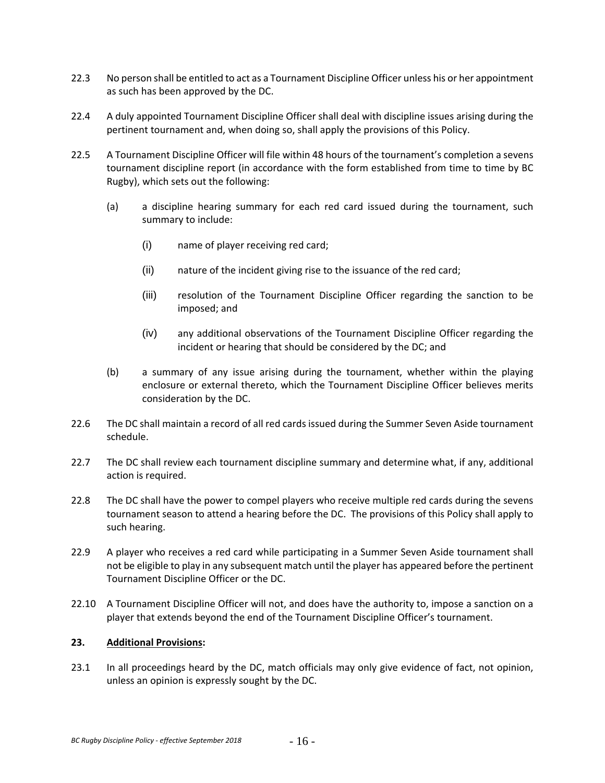- 22.3 No person shall be entitled to act as a Tournament Discipline Officer unless his or her appointment as such has been approved by the DC.
- 22.4 A duly appointed Tournament Discipline Officer shall deal with discipline issues arising during the pertinent tournament and, when doing so, shall apply the provisions of this Policy.
- 22.5 A Tournament Discipline Officer will file within 48 hours of the tournament's completion a sevens tournament discipline report (in accordance with the form established from time to time by BC Rugby), which sets out the following:
	- (a) a discipline hearing summary for each red card issued during the tournament, such summary to include:
		- (i) name of player receiving red card;
		- (ii) nature of the incident giving rise to the issuance of the red card;
		- (iii) resolution of the Tournament Discipline Officer regarding the sanction to be imposed; and
		- (iv) any additional observations of the Tournament Discipline Officer regarding the incident or hearing that should be considered by the DC; and
	- (b) a summary of any issue arising during the tournament, whether within the playing enclosure or external thereto, which the Tournament Discipline Officer believes merits consideration by the DC.
- 22.6 The DC shall maintain a record of all red cards issued during the Summer Seven Aside tournament schedule.
- 22.7 The DC shall review each tournament discipline summary and determine what, if any, additional action is required.
- 22.8 The DC shall have the power to compel players who receive multiple red cards during the sevens tournament season to attend a hearing before the DC. The provisions of this Policy shall apply to such hearing.
- 22.9 A player who receives a red card while participating in a Summer Seven Aside tournament shall not be eligible to play in any subsequent match until the player has appeared before the pertinent Tournament Discipline Officer or the DC.
- 22.10 A Tournament Discipline Officer will not, and does have the authority to, impose a sanction on a player that extends beyond the end of the Tournament Discipline Officer's tournament.

## **23. Additional Provisions:**

23.1 In all proceedings heard by the DC, match officials may only give evidence of fact, not opinion, unless an opinion is expressly sought by the DC.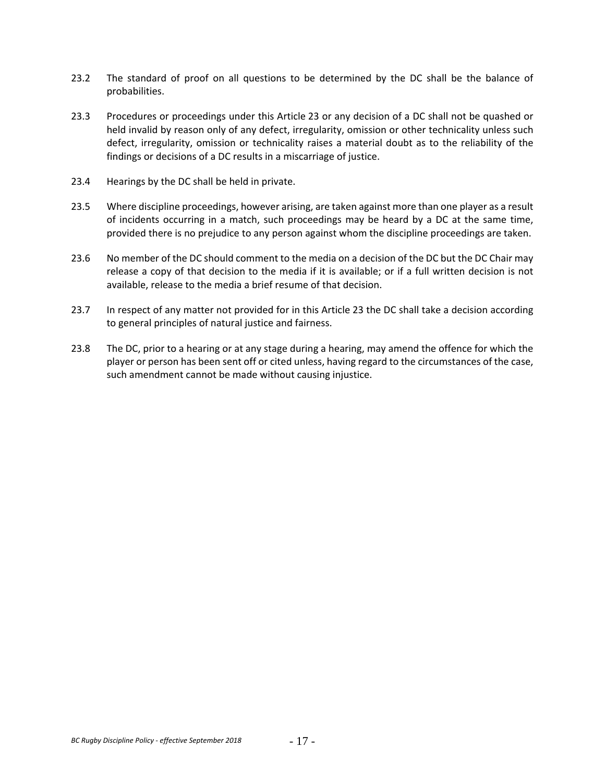- 23.2 The standard of proof on all questions to be determined by the DC shall be the balance of probabilities.
- 23.3 Procedures or proceedings under this Article 23 or any decision of a DC shall not be quashed or held invalid by reason only of any defect, irregularity, omission or other technicality unless such defect, irregularity, omission or technicality raises a material doubt as to the reliability of the findings or decisions of a DC results in a miscarriage of justice.
- 23.4 Hearings by the DC shall be held in private.
- 23.5 Where discipline proceedings, however arising, are taken against more than one player as a result of incidents occurring in a match, such proceedings may be heard by a DC at the same time, provided there is no prejudice to any person against whom the discipline proceedings are taken.
- 23.6 No member of the DC should comment to the media on a decision of the DC but the DC Chair may release a copy of that decision to the media if it is available; or if a full written decision is not available, release to the media a brief resume of that decision.
- 23.7 In respect of any matter not provided for in this Article 23 the DC shall take a decision according to general principles of natural justice and fairness.
- 23.8 The DC, prior to a hearing or at any stage during a hearing, may amend the offence for which the player or person has been sent off or cited unless, having regard to the circumstances of the case, such amendment cannot be made without causing injustice.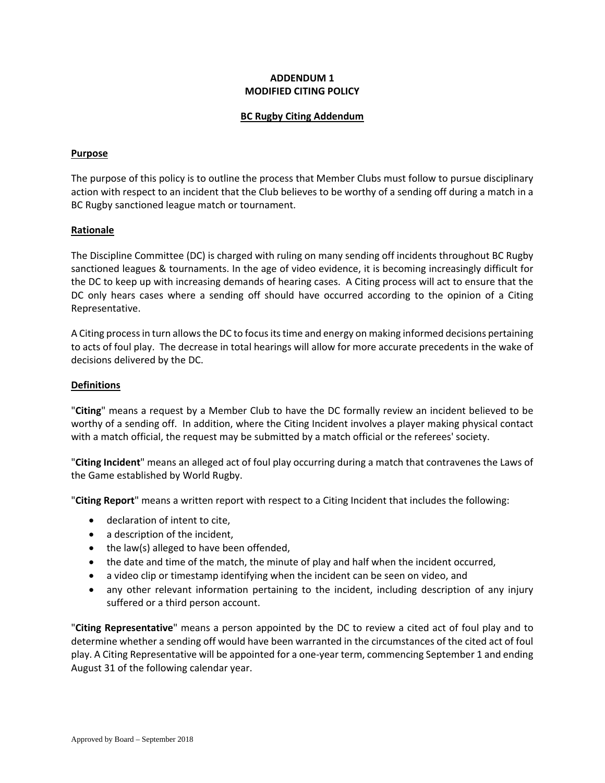# **ADDENDUM 1 MODIFIED CITING POLICY**

### **BC Rugby Citing Addendum**

#### **Purpose**

The purpose of this policy is to outline the process that Member Clubs must follow to pursue disciplinary action with respect to an incident that the Club believes to be worthy of a sending off during a match in a BC Rugby sanctioned league match or tournament.

#### **Rationale**

The Discipline Committee (DC) is charged with ruling on many sending off incidents throughout BC Rugby sanctioned leagues & tournaments. In the age of video evidence, it is becoming increasingly difficult for the DC to keep up with increasing demands of hearing cases. A Citing process will act to ensure that the DC only hears cases where a sending off should have occurred according to the opinion of a Citing Representative.

A Citing process in turn allows the DC to focus its time and energy on making informed decisions pertaining to acts of foul play. The decrease in total hearings will allow for more accurate precedents in the wake of decisions delivered by the DC.

#### **Definitions**

"**Citing**" means a request by a Member Club to have the DC formally review an incident believed to be worthy of a sending off. In addition, where the Citing Incident involves a player making physical contact with a match official, the request may be submitted by a match official or the referees' society.

"**Citing Incident**" means an alleged act of foul play occurring during a match that contravenes the Laws of the Game established by World Rugby.

"**Citing Report**" means a written report with respect to a Citing Incident that includes the following:

- declaration of intent to cite,
- a description of the incident,
- the law(s) alleged to have been offended,
- the date and time of the match, the minute of play and half when the incident occurred,
- a video clip or timestamp identifying when the incident can be seen on video, and
- any other relevant information pertaining to the incident, including description of any injury suffered or a third person account.

"**Citing Representative**" means a person appointed by the DC to review a cited act of foul play and to determine whether a sending off would have been warranted in the circumstances of the cited act of foul play. A Citing Representative will be appointed for a one‐year term, commencing September 1 and ending August 31 of the following calendar year.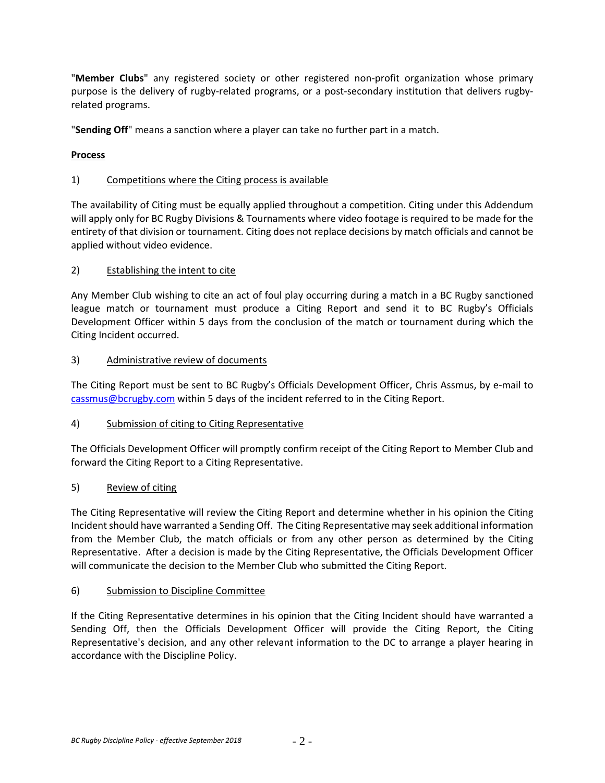"**Member Clubs**" any registered society or other registered non‐profit organization whose primary purpose is the delivery of rugby-related programs, or a post-secondary institution that delivers rugbyrelated programs.

"**Sending Off**" means a sanction where a player can take no further part in a match.

# **Process**

# 1) Competitions where the Citing process is available

The availability of Citing must be equally applied throughout a competition. Citing under this Addendum will apply only for BC Rugby Divisions & Tournaments where video footage is required to be made for the entirety of that division or tournament. Citing does not replace decisions by match officials and cannot be applied without video evidence.

# 2) Establishing the intent to cite

Any Member Club wishing to cite an act of foul play occurring during a match in a BC Rugby sanctioned league match or tournament must produce a Citing Report and send it to BC Rugby's Officials Development Officer within 5 days from the conclusion of the match or tournament during which the Citing Incident occurred.

# 3) Administrative review of documents

The Citing Report must be sent to BC Rugby's Officials Development Officer, Chris Assmus, by e‐mail to cassmus@bcrugby.com within 5 days of the incident referred to in the Citing Report.

# 4) Submission of citing to Citing Representative

The Officials Development Officer will promptly confirm receipt of the Citing Report to Member Club and forward the Citing Report to a Citing Representative.

# 5) Review of citing

The Citing Representative will review the Citing Report and determine whether in his opinion the Citing Incident should have warranted a Sending Off. The Citing Representative may seek additional information from the Member Club, the match officials or from any other person as determined by the Citing Representative. After a decision is made by the Citing Representative, the Officials Development Officer will communicate the decision to the Member Club who submitted the Citing Report.

# 6) Submission to Discipline Committee

If the Citing Representative determines in his opinion that the Citing Incident should have warranted a Sending Off, then the Officials Development Officer will provide the Citing Report, the Citing Representative's decision, and any other relevant information to the DC to arrange a player hearing in accordance with the Discipline Policy.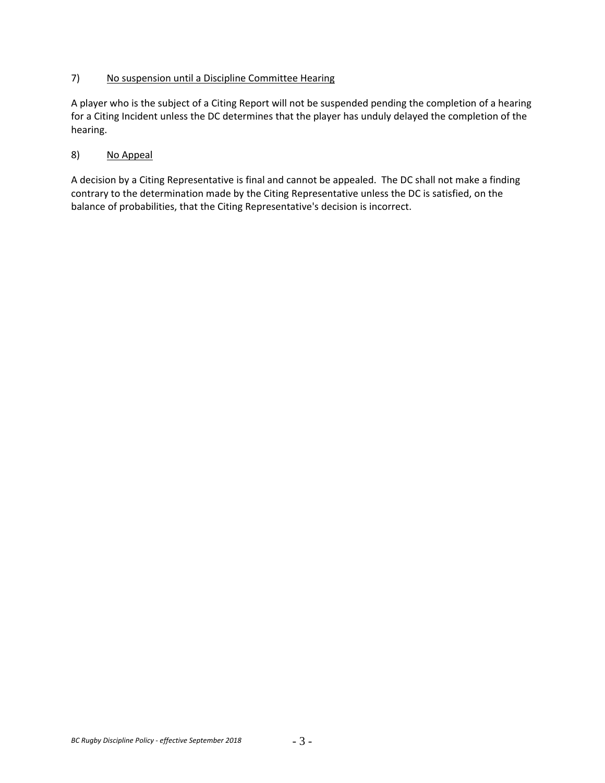# 7) No suspension until a Discipline Committee Hearing

A player who is the subject of a Citing Report will not be suspended pending the completion of a hearing for a Citing Incident unless the DC determines that the player has unduly delayed the completion of the hearing.

# 8) No Appeal

A decision by a Citing Representative is final and cannot be appealed. The DC shall not make a finding contrary to the determination made by the Citing Representative unless the DC is satisfied, on the balance of probabilities, that the Citing Representative's decision is incorrect.